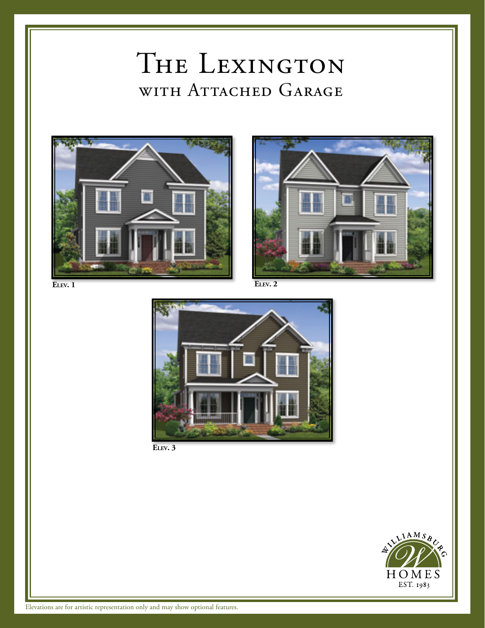## THE LEXINGTON WITH ATTACHED GARAGE







**Elev. 3**

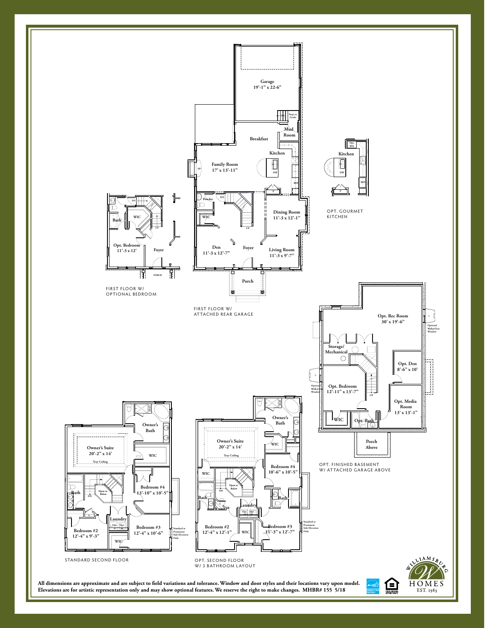